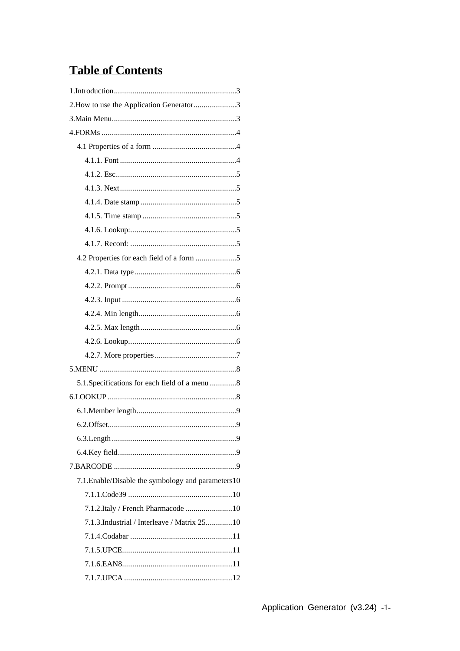# **Table of Contents**

| 2. How to use the Application Generator3            |
|-----------------------------------------------------|
|                                                     |
|                                                     |
|                                                     |
|                                                     |
|                                                     |
|                                                     |
|                                                     |
|                                                     |
|                                                     |
|                                                     |
|                                                     |
|                                                     |
|                                                     |
|                                                     |
|                                                     |
|                                                     |
|                                                     |
|                                                     |
|                                                     |
| 5.1. Specifications for each field of a menu  8     |
|                                                     |
|                                                     |
|                                                     |
|                                                     |
|                                                     |
|                                                     |
| 7.1. Enable/Disable the symbology and parameters 10 |
|                                                     |
| 7.1.2. Italy / French Pharmacode  10                |
| 7.1.3.Industrial / Interleave / Matrix 2510         |
|                                                     |
|                                                     |
|                                                     |
|                                                     |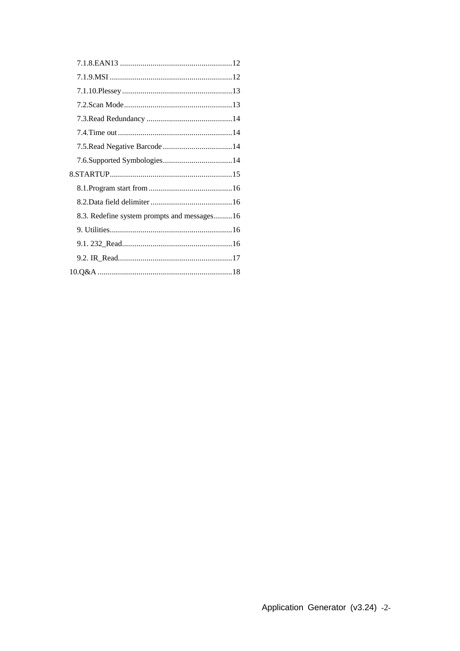| 8.3. Redefine system prompts and messages16 |  |
|---------------------------------------------|--|
|                                             |  |
|                                             |  |
|                                             |  |
|                                             |  |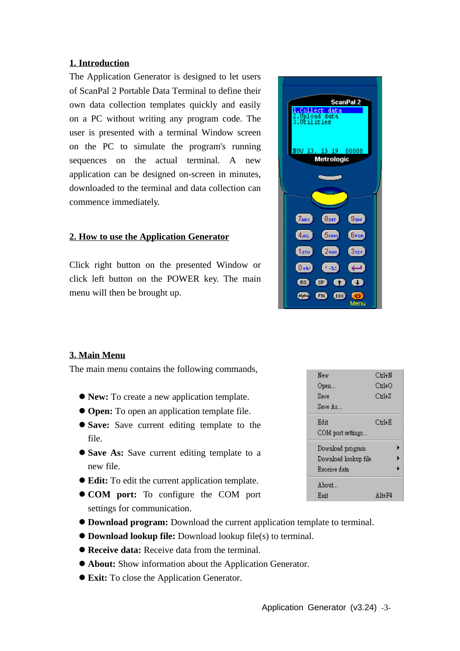#### **1. Introduction**

The Application Generator is designed to let users of ScanPal 2 Portable Data Terminal to define their own data collection templates quickly and easily on a PC without writing any program code. The user is presented with a terminal Window screen on the PC to simulate the program's running sequences on the actual terminal. A new application can be designed on-screen in minutes, downloaded to the terminal and data collection can commence immediately.

### **2. How to use the Application Generator**

Click right button on the presented Window or click left button on the POWER key. The main menu will then be brought up.



# **3. Main Menu**

The main menu contains the following commands,

- **New:** To create a new application template.
- **Open:** To open an application template file.
- $\bullet$  **Save:** Save current editing template to the file.
- $\bullet$  **Save As:** Save current editing template to a new file.
- **Edit:** To edit the current application template.
- **COM** port: To configure the COM port settings for communication.
- l **Download program:** Download the current application template to terminal.
- l **Download lookup file:** Download lookup file(s) to terminal.
- **Receive data:** Receive data from the terminal.
- **About:** Show information about the Application Generator.
- **Exit:** To close the Application Generator.

| $C$ trl+ $N$           |
|------------------------|
| $C$ trl+ $O$           |
| $C$ trl+ $S$           |
|                        |
| ChIF                   |
|                        |
|                        |
| Download lookup file   |
|                        |
|                        |
| $A$ <sub>1</sub> $+FA$ |
|                        |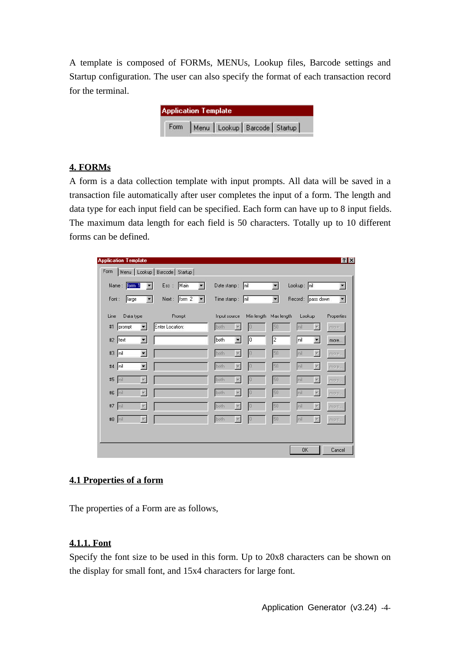A template is composed of FORMs, MENUs, Lookup files, Barcode settings and Startup configuration. The user can also specify the format of each transaction record for the terminal.

|      | <b>Application Template</b> |                                   |  |
|------|-----------------------------|-----------------------------------|--|
| Form |                             | Menu   Lookup   Barcode   Startup |  |

# **4. FORMs**

A form is a data collection template with input prompts. All data will be saved in a transaction file automatically after user completes the input of a form. The length and data type for each input field can be specified. Each form can have up to 8 input fields. The maximum data length for each field is 50 characters. Totally up to 10 different forms can be defined.

| Menu   Lookup   Barcode   Startup  <br>Form |                                             |                 |                          |            |                |             |                                               |
|---------------------------------------------|---------------------------------------------|-----------------|--------------------------|------------|----------------|-------------|-----------------------------------------------|
| form 1<br>Name:<br>$\overline{\phantom{a}}$ | Main<br>Esc :<br>$\blacktriangledown$       | Date stamp:     |                          | Inil       | $\blacksquare$ | Lookup: nil | $\blacksquare$                                |
| Font:<br>$\overline{\phantom{a}}$<br>large  | Next: form 2<br>$\mathcal{P}^{\mathcal{G}}$ | Time stamp: nil |                          |            | $\blacksquare$ |             | Record: pass down<br>$\vert \mathbf{r} \vert$ |
| Line<br>Data type                           | Prompt                                      | Input source    |                          | Min length | Max length     | Lookup      | Properties                                    |
| #1<br>prompt                                | Enter Location:                             | both            |                          |            | 50             | Inil        | more                                          |
| $#2$ text<br>$\blacksquare$                 |                                             | both            | $\blacksquare$           | 10         | 2              | nil         | $\blacktriangledown$<br>more                  |
| $#3$  nil<br>$\blacktriangledown$           |                                             | both            | $\vert \mathbf{v} \vert$ | o          | 50             | nil         | $\vert \mathbf{v} \vert$<br>more              |
| #4   nil<br>$\blacksquare$                  |                                             | both            | $\mathbf{v}$             |            | 50             | Init        | $\vert \mathbf{v} \vert$<br>more              |
| #5 nil<br>$\mathbf{v}$                      |                                             | both            | $\overline{\mathbf{Y}}$  | E          | 50             | hil         | $\overline{\mathbf{r}}$<br>more               |
| #6   nil<br>$\overline{\mathcal{M}}$        |                                             | both            | $\overline{\mathbf{r}}$  | 19         | 50             | nil         | 园<br>more                                     |
| #7<br>$\mathbf{v}$<br>Init                  |                                             | both            | $\mathbf{v}$             |            | 50             | nil         | $\overline{\mathbf{x}}$<br>more               |
| #8<br>$\mathbf{v}$<br>Init                  |                                             | both            | $\mathbf{v}$             |            | 50             | nil         | $\overline{\mathbf{x}}$<br>more               |
|                                             |                                             |                 |                          |            |                |             |                                               |

# **4.1 Properties of a form**

The properties of a Form are as follows,

# **4.1.1. Font**

Specify the font size to be used in this form. Up to 20x8 characters can be shown on the display for small font, and 15x4 characters for large font.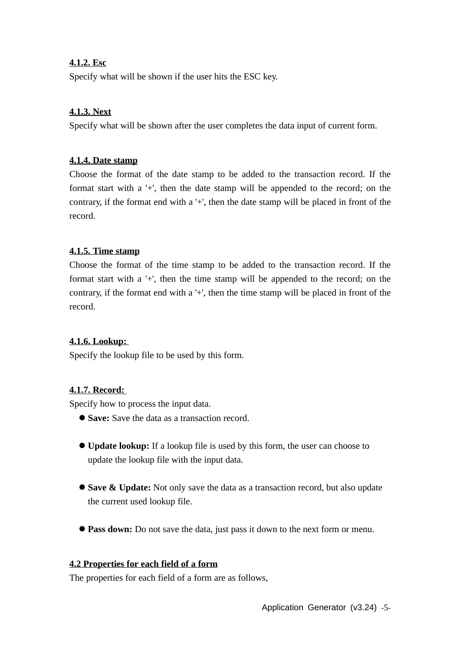# **4.1.2. Esc**

Specify what will be shown if the user hits the ESC key.

# **4.1.3. Next**

Specify what will be shown after the user completes the data input of current form.

# **4.1.4. Date stamp**

Choose the format of the date stamp to be added to the transaction record. If the format start with a '+', then the date stamp will be appended to the record; on the contrary, if the format end with a '+', then the date stamp will be placed in front of the record.

# **4.1.5. Time stamp**

Choose the format of the time stamp to be added to the transaction record. If the format start with a '+', then the time stamp will be appended to the record; on the contrary, if the format end with a '+', then the time stamp will be placed in front of the record.

# **4.1.6. Lookup:**

Specify the lookup file to be used by this form.

# **4.1.7. Record:**

Specify how to process the input data.

- **Save:** Save the data as a transaction record.
- l **Update lookup:** If a lookup file is used by this form, the user can choose to update the lookup file with the input data.
- **Save & Update:** Not only save the data as a transaction record, but also update the current used lookup file.
- **Pass down:** Do not save the data, just pass it down to the next form or menu.

# **4.2 Properties for each field of a form**

The properties for each field of a form are as follows,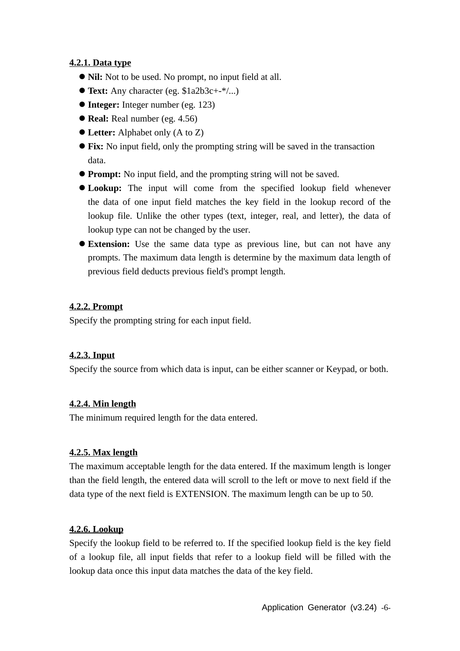# **4.2.1. Data type**

- **Nil:** Not to be used. No prompt, no input field at all.
- **Text:** Any character (eg.  $$1a2b3c++*/...$ )
- l **Integer:** Integer number (eg. 123)
- **Real:** Real number (eg. 4.56)
- Letter: Alphabet only (A to Z)
- **Fix:** No input field, only the prompting string will be saved in the transaction data.
- **Prompt:** No input field, and the prompting string will not be saved.
- **Lookup:** The input will come from the specified lookup field whenever the data of one input field matches the key field in the lookup record of the lookup file. Unlike the other types (text, integer, real, and letter), the data of lookup type can not be changed by the user.
- **Extension:** Use the same data type as previous line, but can not have any prompts. The maximum data length is determine by the maximum data length of previous field deducts previous field's prompt length.

# **4.2.2. Prompt**

Specify the prompting string for each input field.

# **4.2.3. Input**

Specify the source from which data is input, can be either scanner or Keypad, or both.

# **4.2.4. Min length**

The minimum required length for the data entered.

# **4.2.5. Max length**

The maximum acceptable length for the data entered. If the maximum length is longer than the field length, the entered data will scroll to the left or move to next field if the data type of the next field is EXTENSION. The maximum length can be up to 50.

# **4.2.6. Lookup**

Specify the lookup field to be referred to. If the specified lookup field is the key field of a lookup file, all input fields that refer to a lookup field will be filled with the lookup data once this input data matches the data of the key field.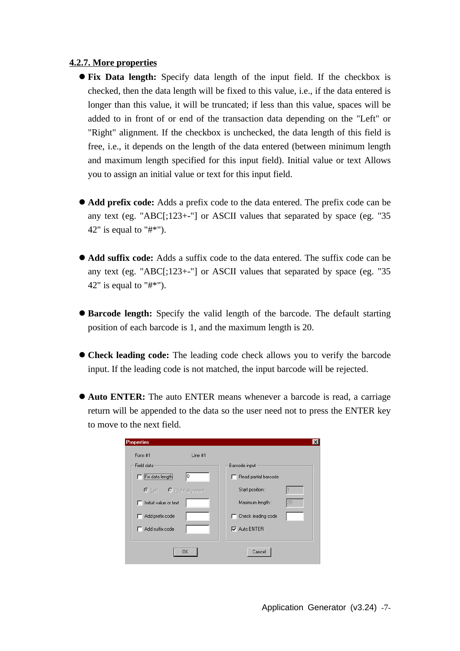### **4.2.7. More properties**

- **Fix Data length:** Specify data length of the input field. If the checkbox is checked, then the data length will be fixed to this value, i.e., if the data entered is longer than this value, it will be truncated; if less than this value, spaces will be added to in front of or end of the transaction data depending on the "Left" or "Right" alignment. If the checkbox is unchecked, the data length of this field is free, i.e., it depends on the length of the data entered (between minimum length and maximum length specified for this input field). Initial value or text Allows you to assign an initial value or text for this input field.
- l **Add prefix code:** Adds a prefix code to the data entered. The prefix code can be any text (eg. "ABC[;123+-"] or ASCII values that separated by space (eg. "35 42" is equal to " $\#$ \*").
- l **Add suffix code:** Adds a suffix code to the data entered. The suffix code can be any text (eg. "ABC[;123+-"] or ASCII values that separated by space (eg. "35 42" is equal to " $\#$ \*").
- **Barcode length:** Specify the valid length of the barcode. The default starting position of each barcode is 1, and the maximum length is 20.
- **Check leading code:** The leading code check allows you to verify the barcode input. If the leading code is not matched, the input barcode will be rejected.
- **Auto ENTER:** The auto ENTER means whenever a barcode is read, a carriage return will be appended to the data so the user need not to press the ENTER key to move to the next field.

| Barcode input        |
|----------------------|
| Read partial barcode |
| Start position:      |
| Maximum length:      |
| Check leading code   |
| Auto ENTER           |
|                      |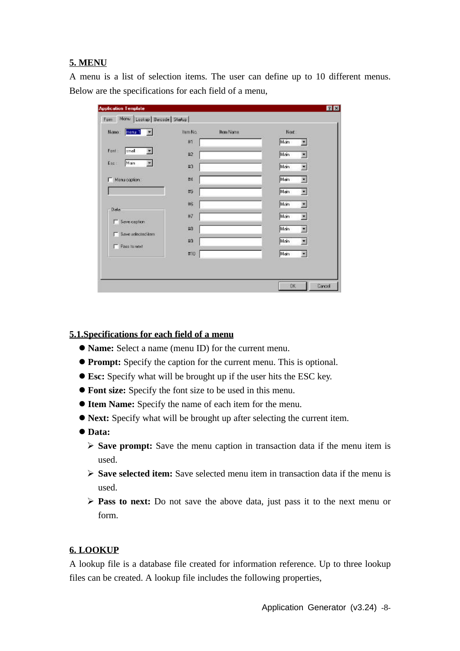### **5. MENU**

A menu is a list of selection items. The user can define up to 10 different menus. Below are the specifications for each field of a menu,

| menu 1<br>Name:       | Item No. | <b>Item Name</b> | Next.                           |
|-----------------------|----------|------------------|---------------------------------|
|                       | #1       |                  | Main<br>図                       |
| Font<br>small<br>因    | #2       |                  | Main<br>치                       |
| Esci<br>Man<br>圐      | #3       |                  | Main<br>ы                       |
| F Menu caption:       | #4       |                  | Main<br>$\overline{\mathbf{r}}$ |
|                       | #5       |                  | Main<br>×                       |
| Data                  | #6       |                  | Main<br>×                       |
| 5 Serie caption       | #7       |                  | Main<br>×                       |
| Save selected item    | #8       |                  | Main<br>۰                       |
|                       | 124      |                  | Main<br>≂                       |
|                       | #10      |                  | Main<br>$\mathbb{R}$            |
| <b>F</b> Pass to next |          |                  |                                 |

#### **5.1.Specifications for each field of a menu**

- l **Name:** Select a name (menu ID) for the current menu.
- **Prompt:** Specify the caption for the current menu. This is optional.
- l **Esc:** Specify what will be brought up if the user hits the ESC key.
- **Font size:** Specify the font size to be used in this menu.
- **Item Name:** Specify the name of each item for the menu.
- **Next:** Specify what will be brought up after selecting the current item.
- l **Data:**
	- ÿ **Save prompt:** Save the menu caption in transaction data if the menu item is used.
	- ÿ **Save selected item:** Save selected menu item in transaction data if the menu is used.
	- ÿ **Pass to next:** Do not save the above data, just pass it to the next menu or form.

#### **6. LOOKUP**

A lookup file is a database file created for information reference. Up to three lookup files can be created. A lookup file includes the following properties,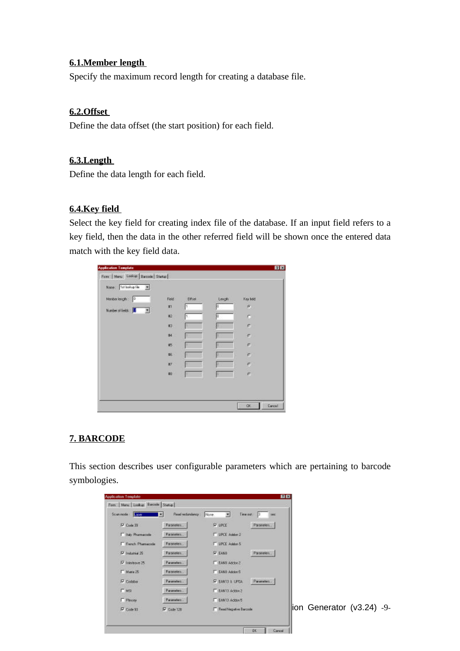### **6.1.Member length**

Specify the maximum record length for creating a database file.

### **6.2.Offset**

Define the data offset (the start position) for each field.

### **6.3.Length**

Define the data length for each field.

# **6.4.Key field**

Select the key field for creating index file of the database. If an input field refers to a key field, then the data in the other referred field will be shown once the entered data match with the key field data.

| Menberlength: 0        | Feld | <b>UWed</b> | Length | Key feld |
|------------------------|------|-------------|--------|----------|
| Number of fields : E 3 | #1   |             |        | 庆        |
|                        | 42   | 1.          |        | c        |
|                        | #3   |             |        | P.       |
|                        | 84   |             |        | c.       |
|                        | 45   |             | п      | e.       |
|                        | 46   |             | и      | r.       |
|                        | 47   |             |        | ¢,       |
|                        | #8   |             | ю      | è        |

# **7. BARCODE**

This section describes user configurable parameters which are pertaining to barcode symbologies.

| <b>Application Template</b>     |                   |                                          | 四区                            |
|---------------------------------|-------------------|------------------------------------------|-------------------------------|
| Form Menu Lookup Bercode Statup |                   |                                          |                               |
| Scenmode: Lage                  | Paud sedundancy : | Time out: 3<br>园<br>None.<br><b>TRC</b>  |                               |
| F Code 39                       | Parameters.       | <b>P UPCE</b><br>Parameters              |                               |
| IT Italy Pharmacode             | Parameters.       | IT UPCE Adden 2                          |                               |
| F French Phamacode              | Parameters        | IT UPCE Addon 5                          |                               |
| P Industrial 25                 | Parameters        | <b>P EANB</b><br>Parameters              |                               |
| IZ Interleave 25                | Parameters        | F EANB Addon 2                           |                               |
| IT Matrix 25:                   | Parameters.       | <b>F EANB Adden 5</b>                    |                               |
| <b>P</b> Codebar                | Parameters        | <b>V EAN13 &amp; UPCA</b><br>Parameters. |                               |
| <b>LINE</b>                     | Parameters        | F EAN13 Addon2                           |                               |
| <b>F</b> Pleaser                | Parameters        | F EAN13 Addon 5                          |                               |
| IZ Code 33                      | V Code 128        | F Read Negative Barcode                  | $ $ ion Generator (v3.24) -9- |
|                                 |                   |                                          |                               |
|                                 |                   | DK:                                      | Canad                         |
|                                 |                   |                                          |                               |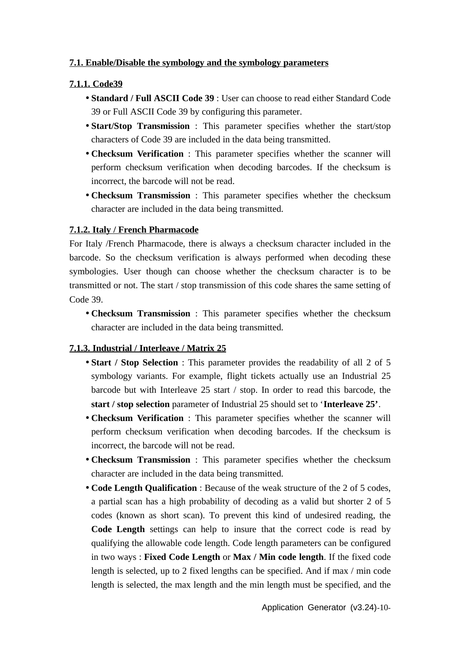# **7.1. Enable/Disable the symbology and the symbology parameters**

### **7.1.1. Code39**

- **Standard / Full ASCII Code 39** : User can choose to read either Standard Code 39 or Full ASCII Code 39 by configuring this parameter.
- **Start/Stop Transmission** : This parameter specifies whether the start/stop characters of Code 39 are included in the data being transmitted.
- **Checksum Verification** : This parameter specifies whether the scanner will perform checksum verification when decoding barcodes. If the checksum is incorrect, the barcode will not be read.
- **Checksum Transmission** : This parameter specifies whether the checksum character are included in the data being transmitted.

### **7.1.2. Italy / French Pharmacode**

For Italy /French Pharmacode, there is always a checksum character included in the barcode. So the checksum verification is always performed when decoding these symbologies. User though can choose whether the checksum character is to be transmitted or not. The start / stop transmission of this code shares the same setting of Code 39.

• **Checksum Transmission** : This parameter specifies whether the checksum character are included in the data being transmitted.

#### **7.1.3. Industrial / Interleave / Matrix 25**

- **Start / Stop Selection** : This parameter provides the readability of all 2 of 5 symbology variants. For example, flight tickets actually use an Industrial 25 barcode but with Interleave 25 start / stop. In order to read this barcode, the **start / stop selection** parameter of Industrial 25 should set to '**Interleave 25'**.
- **Checksum Verification** : This parameter specifies whether the scanner will perform checksum verification when decoding barcodes. If the checksum is incorrect, the barcode will not be read.
- **Checksum Transmission** : This parameter specifies whether the checksum character are included in the data being transmitted.
- **Code Length Qualification** : Because of the weak structure of the 2 of 5 codes, a partial scan has a high probability of decoding as a valid but shorter 2 of 5 codes (known as short scan). To prevent this kind of undesired reading, the **Code Length** settings can help to insure that the correct code is read by qualifying the allowable code length. Code length parameters can be configured in two ways : **Fixed Code Length** or **Max / Min code length**. If the fixed code length is selected, up to 2 fixed lengths can be specified. And if max / min code length is selected, the max length and the min length must be specified, and the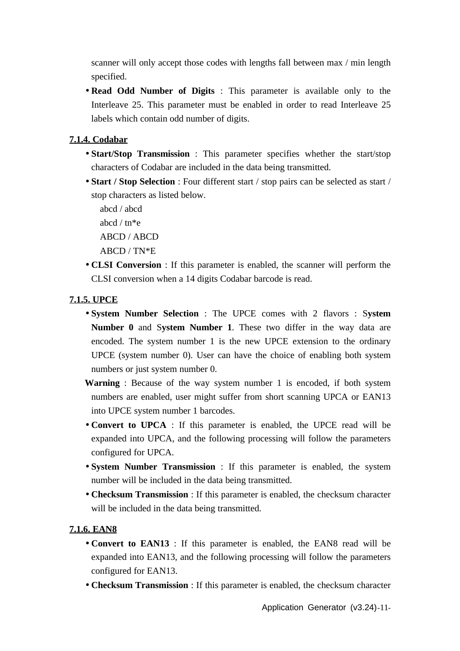scanner will only accept those codes with lengths fall between max / min length specified.

• **Read Odd Number of Digits** : This parameter is available only to the Interleave 25. This parameter must be enabled in order to read Interleave 25 labels which contain odd number of digits.

# **7.1.4. Codabar**

- **Start/Stop Transmission** : This parameter specifies whether the start/stop characters of Codabar are included in the data being transmitted.
- **Start / Stop Selection** : Four different start / stop pairs can be selected as start / stop characters as listed below.
	- abcd / abcd
	- abcd / tn\*e
	- ABCD / ABCD
	- ABCD / TN\*E
- **CLSI Conversion** : If this parameter is enabled, the scanner will perform the CLSI conversion when a 14 digits Codabar barcode is read.

# **7.1.5. UPCE**

- **System Number Selection** : The UPCE comes with 2 flavors : S**ystem Number 0** and S**ystem Number 1**. These two differ in the way data are encoded. The system number 1 is the new UPCE extension to the ordinary UPCE (system number 0). User can have the choice of enabling both system numbers or just system number 0.
- **Warning** : Because of the way system number 1 is encoded, if both system numbers are enabled, user might suffer from short scanning UPCA or EAN13 into UPCE system number 1 barcodes.
- **Convert to UPCA** : If this parameter is enabled, the UPCE read will be expanded into UPCA, and the following processing will follow the parameters configured for UPCA.
- **System Number Transmission** : If this parameter is enabled, the system number will be included in the data being transmitted.
- **Checksum Transmission** : If this parameter is enabled, the checksum character will be included in the data being transmitted.

# **7.1.6. EAN8**

- **Convert to EAN13** : If this parameter is enabled, the EAN8 read will be expanded into EAN13, and the following processing will follow the parameters configured for EAN13.
- **Checksum Transmission** : If this parameter is enabled, the checksum character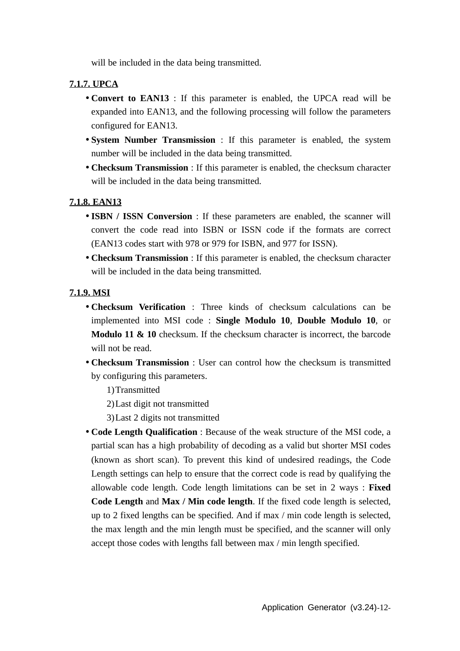will be included in the data being transmitted.

# **7.1.7. UPCA**

- **Convert to EAN13** : If this parameter is enabled, the UPCA read will be expanded into EAN13, and the following processing will follow the parameters configured for EAN13.
- **System Number Transmission** : If this parameter is enabled, the system number will be included in the data being transmitted.
- **Checksum Transmission** : If this parameter is enabled, the checksum character will be included in the data being transmitted.

# **7.1.8. EAN13**

- **ISBN / ISSN Conversion** : If these parameters are enabled, the scanner will convert the code read into ISBN or ISSN code if the formats are correct (EAN13 codes start with 978 or 979 for ISBN, and 977 for ISSN).
- **Checksum Transmission** : If this parameter is enabled, the checksum character will be included in the data being transmitted.

# **7.1.9. MSI**

- **Checksum Verification** : Three kinds of checksum calculations can be implemented into MSI code : **Single Modulo 10**, **Double Modulo 10**, or **Modulo 11 & 10** checksum. If the checksum character is incorrect, the barcode will not be read.
- **Checksum Transmission** : User can control how the checksum is transmitted by configuring this parameters.
	- 1)Transmitted
	- 2)Last digit not transmitted
	- 3)Last 2 digits not transmitted
- **Code Length Qualification** : Because of the weak structure of the MSI code, a partial scan has a high probability of decoding as a valid but shorter MSI codes (known as short scan). To prevent this kind of undesired readings, the Code Length settings can help to ensure that the correct code is read by qualifying the allowable code length. Code length limitations can be set in 2 ways : **Fixed Code Length** and **Max / Min code length**. If the fixed code length is selected, up to 2 fixed lengths can be specified. And if max / min code length is selected, the max length and the min length must be specified, and the scanner will only accept those codes with lengths fall between max / min length specified.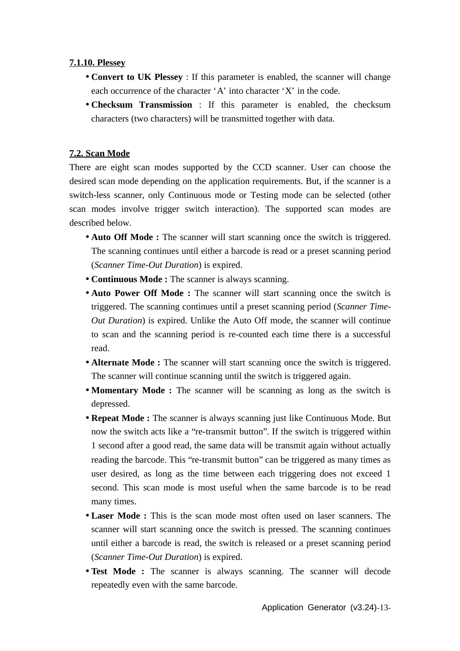# **7.1.10. Plessey**

- **Convert to UK Plessey** : If this parameter is enabled, the scanner will change each occurrence of the character 'A' into character 'X' in the code.
- **Checksum Transmission** : If this parameter is enabled, the checksum characters (two characters) will be transmitted together with data.

# **7.2. Scan Mode**

There are eight scan modes supported by the CCD scanner. User can choose the desired scan mode depending on the application requirements. But, if the scanner is a switch-less scanner, only Continuous mode or Testing mode can be selected (other scan modes involve trigger switch interaction). The supported scan modes are described below.

- **Auto Off Mode :** The scanner will start scanning once the switch is triggered. The scanning continues until either a barcode is read or a preset scanning period (*Scanner Time-Out Duration*) is expired.
- **Continuous Mode :** The scanner is always scanning.
- **Auto Power Off Mode :** The scanner will start scanning once the switch is triggered. The scanning continues until a preset scanning period (*Scanner Time-Out Duration*) is expired. Unlike the Auto Off mode, the scanner will continue to scan and the scanning period is re-counted each time there is a successful read.
- **Alternate Mode :** The scanner will start scanning once the switch is triggered. The scanner will continue scanning until the switch is triggered again.
- **Momentary Mode :** The scanner will be scanning as long as the switch is depressed.
- **Repeat Mode :** The scanner is always scanning just like Continuous Mode. But now the switch acts like a "re-transmit button". If the switch is triggered within 1 second after a good read, the same data will be transmit again without actually reading the barcode. This "re-transmit button" can be triggered as many times as user desired, as long as the time between each triggering does not exceed 1 second. This scan mode is most useful when the same barcode is to be read many times.
- **Laser Mode :** This is the scan mode most often used on laser scanners. The scanner will start scanning once the switch is pressed. The scanning continues until either a barcode is read, the switch is released or a preset scanning period (*Scanner Time-Out Duration*) is expired.
- **Test Mode :** The scanner is always scanning. The scanner will decode repeatedly even with the same barcode.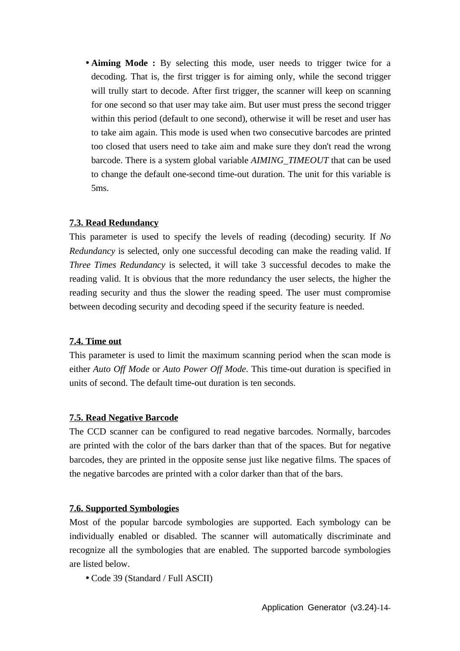• **Aiming Mode :** By selecting this mode, user needs to trigger twice for a decoding. That is, the first trigger is for aiming only, while the second trigger will trully start to decode. After first trigger, the scanner will keep on scanning for one second so that user may take aim. But user must press the second trigger within this period (default to one second), otherwise it will be reset and user has to take aim again. This mode is used when two consecutive barcodes are printed too closed that users need to take aim and make sure they don't read the wrong barcode. There is a system global variable *AIMING\_TIMEOUT* that can be used to change the default one-second time-out duration. The unit for this variable is 5ms.

# **7.3. Read Redundancy**

This parameter is used to specify the levels of reading (decoding) security. If *No Redundancy* is selected, only one successful decoding can make the reading valid. If *Three Times Redundancy* is selected, it will take 3 successful decodes to make the reading valid. It is obvious that the more redundancy the user selects, the higher the reading security and thus the slower the reading speed. The user must compromise between decoding security and decoding speed if the security feature is needed.

# **7.4. Time out**

This parameter is used to limit the maximum scanning period when the scan mode is either *Auto Off Mode* or *Auto Power Off Mode*. This time-out duration is specified in units of second. The default time-out duration is ten seconds.

# **7.5. Read Negative Barcode**

The CCD scanner can be configured to read negative barcodes. Normally, barcodes are printed with the color of the bars darker than that of the spaces. But for negative barcodes, they are printed in the opposite sense just like negative films. The spaces of the negative barcodes are printed with a color darker than that of the bars.

#### **7.6. Supported Symbologies**

Most of the popular barcode symbologies are supported. Each symbology can be individually enabled or disabled. The scanner will automatically discriminate and recognize all the symbologies that are enabled. The supported barcode symbologies are listed below.

• Code 39 (Standard / Full ASCII)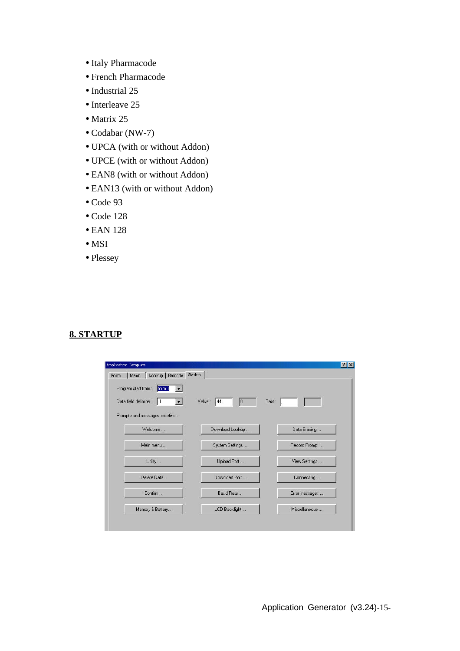- Italy Pharmacode
- French Pharmacode
- Industrial 25
- Interleave 25
- Matrix 25
- Codabar (NW-7)
- UPCA (with or without Addon)
- UPCE (with or without Addon)
- EAN8 (with or without Addon)
- EAN13 (with or without Addon)
- Code 93
- Code 128
- EAN 128
- MSI
- Plessey

# **8. STARTUP**

| Menu Lookup Barcode<br>Form     | Startup         |                |
|---------------------------------|-----------------|----------------|
| Program start from :<br>form 1  |                 |                |
| Data field delimiter :          | Value:<br>144   | Text:          |
| Prompts and messages redefine : |                 |                |
| Welcome                         | Download Lookup | Data Erasing   |
| Main menu                       | System Settings | Record Prompt  |
| Utility                         | Upload Port     | View Settings  |
| Delete Data                     | Download Port   | Connecting     |
| Confirm                         | Baud Rate       | Error messages |
| Memory & Battery                | LCD Backlight   | Miscellaneous  |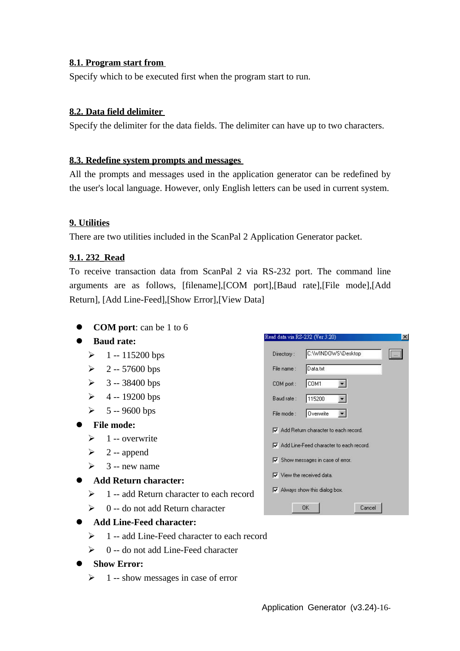# **8.1. Program start from**

Specify which to be executed first when the program start to run.

# **8.2. Data field delimiter**

Specify the delimiter for the data fields. The delimiter can have up to two characters.

### **8.3. Redefine system prompts and messages**

All the prompts and messages used in the application generator can be redefined by the user's local language. However, only English letters can be used in current system.

# **9. Utilities**

There are two utilities included in the ScanPal 2 Application Generator packet.

# **9.1. 232\_Read**

To receive transaction data from ScanPal 2 via RS-232 port. The command line arguments are as follows, [filename],[COM port],[Baud rate],[File mode],[Add Return], [Add Line-Feed],[Show Error],[View Data]

**COM port**: can be 1 to 6

# $\bullet$  Baud rate:

- $\geq 1 115200$  bps
- $\ge 2 57600$  bps
- $\geq 3 38400$  bps
- $\geq 4 19200$  bps
- $\ge 5 9600$  bps

# l **File mode:**

- $\geq 1$  -- overwrite
- $\geq$  2 -- append
- $\geq$  3 -- new name

# **Add Return character:**

- $\geq 1$  -- add Return character to each record
- $\geq 0$  -- do not add Return character

| <b>Add Line-Feed character:</b> |
|---------------------------------|
|---------------------------------|

- $\geq 1$  -- add Line-Feed character to each record
- $\geq 0$  -- do not add Line-Feed character

# $\bullet$  Show Error:

 $\geq 1$  -- show messages in case of error

|             | Read data via RS-232 (Ver 3.20)                 | $\times$ |
|-------------|-------------------------------------------------|----------|
| Directory:  | C:\WINDOWS\Desktop                              |          |
| File name:  | Data.txt                                        |          |
| COM port:   | COM1                                            |          |
| Baud rate:  | 115200                                          |          |
| File mode : | Overwrite                                       |          |
|             | $\nabla$ Add Return character to each record.   |          |
|             | M Add Line-Feed character to each record.       |          |
|             | $\triangledown$ Show messages in case of error. |          |
|             | $\nabla$ View the received data.                |          |
|             | M Always show this dialog box.                  |          |
|             | <b>OK</b><br>Cancel                             |          |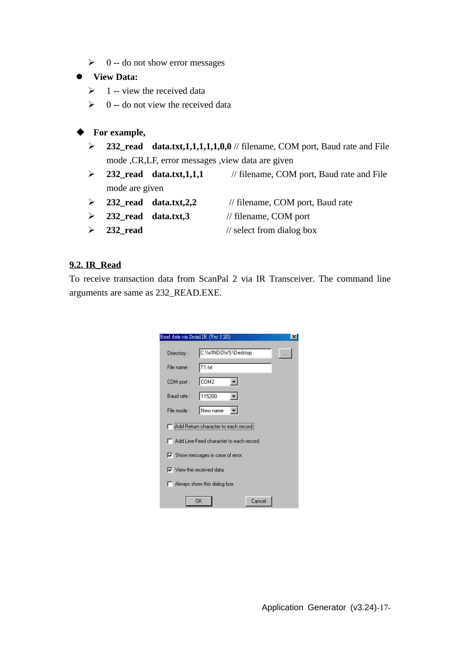$\geq 0$  -- do not show error messages

#### $\bullet$  View Data:

- $\geq 1$  -- view the received data
- $\geq 0$  -- do not view the received data

# **For example,**

- ÿ **232\_read data.txt,1,1,1,1,1,0,0** // filename, COM port, Baud rate and File mode ,CR,LF, error messages ,view data are given
- ÿ **232\_read data.txt,1,1,1** // filename, COM port, Baud rate and File mode are given
- ÿ **232\_read data.txt,2,2** // filename, COM port, Baud rate
	-
- ÿ **232\_read data.txt,3** // filename, COM port
- ÿ **232\_read** // select from dialog box

# **9.2. IR\_Read**

To receive transaction data from ScanPal 2 via IR Transceiver. The command line arguments are same as 232\_READ.EXE.

| Directory:              | C:\WINDOWS\Desktop                       |  |
|-------------------------|------------------------------------------|--|
| File name:<br>COM port: | T1.bt                                    |  |
|                         | COM <sub>2</sub>                         |  |
| Baud rate:              | 115200                                   |  |
| File mode:              | New name                                 |  |
|                         | Add Return character to each record.     |  |
|                         | Add Line-Feed character to each record.  |  |
|                         | $\nabla$ Show messages in case of error. |  |
|                         | $\nabla$ View the received data.         |  |
|                         | Always show this dialog box.             |  |